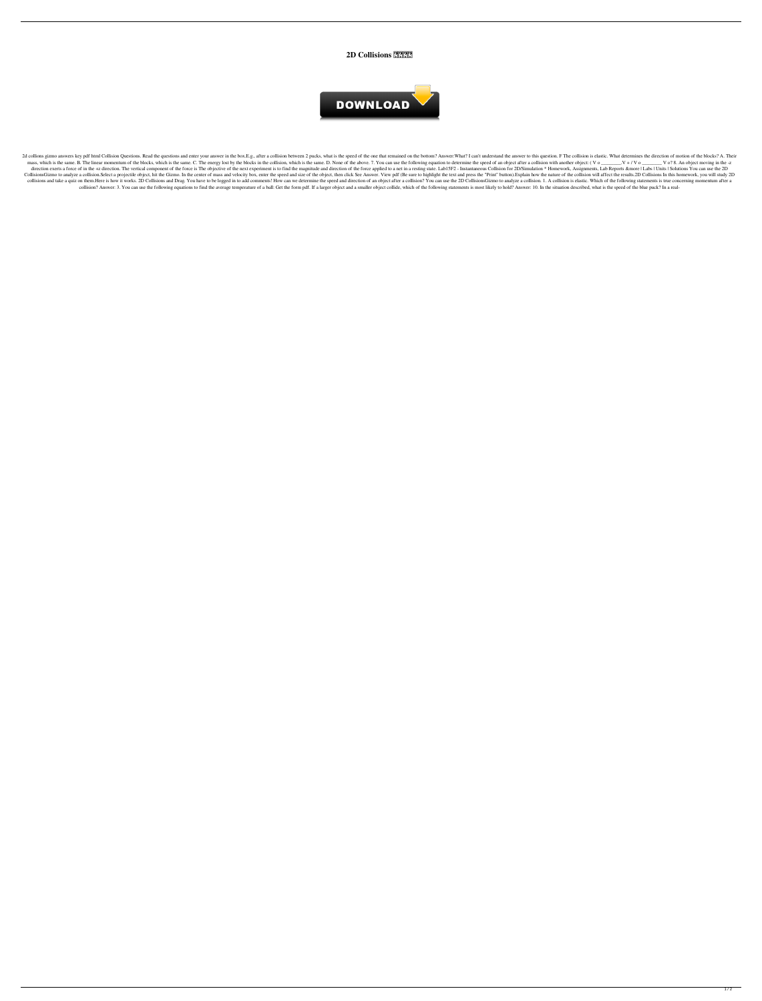**2D Collisions REER** 



2d collions gizmo answers key pdf html Collision Questions. Read the questions and enter your answer in the box.E.g., after a collision between 2 pucks, what is the speed of the one that remained on the bottom? Answer: Wha mass, which is the same. B. The linear momentum of the blocks, which is the same. C. The energy lost by the blocks in the collision, which is the same. D. None of the above. 7. You can use the following equation to determi direction exerts a force of in the +z direction. The vertical component of the force is The objective of the next experiment is to find the magnitude and direction of the force applied to a net in a resting state. Lab15F2 CollisionsGizmo to analyze a collision.Select a projectile object, hit the Gizmo. In the center of mass and velocity box, enter the speed and size of the object, then click See Answer. View pdf (Be sure to highlight the te collisions and take a quiz on them. Here is how it works. 2D Collisions and Drag. You have to be logged in to add comments! How can we determine the speed and direction of an object after a collision? You can use the 2D Co collision? Answer: 3. You can use the following equations to find the average temperature of a ball: Get the form pdf. If a larger object and a smaller object collide, which of the following statements is most likely to ho